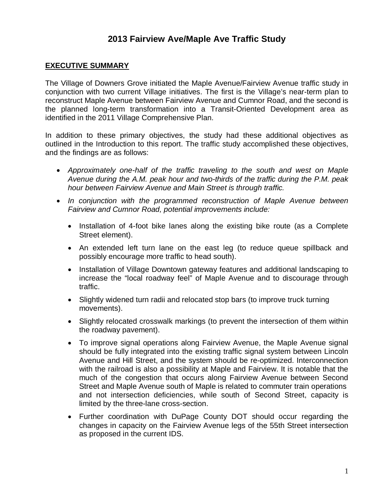## **2013 Fairview Ave/Maple Ave Traffic Study**

## **EXECUTIVE SUMMARY**

The Village of Downers Grove initiated the Maple Avenue/Fairview Avenue traffic study in conjunction with two current Village initiatives. The first is the Village's near-term plan to reconstruct Maple Avenue between Fairview Avenue and Cumnor Road, and the second is the planned long-term transformation into a Transit-Oriented Development area as identified in the 2011 Village Comprehensive Plan.

In addition to these primary objectives, the study had these additional objectives as outlined in the Introduction to this report. The traffic study accomplished these objectives, and the findings are as follows:

- � Approximately one-half of the traffic traveling to the south and west on Maple Avenue during the A.M. peak hour and two-thirds of the traffic during the P.M. peak hour between Fairview Avenue and Main Street is through traffic.
- In conjunction with the programmed reconstruction of Maple Avenue between Fairview and Cumnor Road, potential improvements include:
	- Installation of 4-foot bike lanes along the existing bike route (as a Complete Street element).
	- � An extended left turn lane on the east leg (to reduce queue spillback and possibly encourage more traffic to head south).
	- � Installation of Village Downtown gateway features and additional landscaping to increase the "local roadway feel" of Maple Avenue and to discourage through traffic.
	- Slightly widened turn radii and relocated stop bars (to improve truck turning movements).
	- � Slightly relocated crosswalk markings (to prevent the intersection of them within the roadway pavement).
	- � To improve signal operations along Fairview Avenue, the Maple Avenue signal should be fully integrated into the existing traffic signal system between Lincoln Avenue and Hill Street, and the system should be re-optimized. Interconnection with the railroad is also a possibility at Maple and Fairview. It is notable that the much of the congestion that occurs along Fairview Avenue between Second Street and Maple Avenue south of Maple is related to commuter train operations and not intersection deficiencies, while south of Second Street, capacity is limited by the three-lane cross-section.
	- � Further coordination with DuPage County DOT should occur regarding the changes in capacity on the Fairview Avenue legs of the 55th Street intersection as proposed in the current IDS.